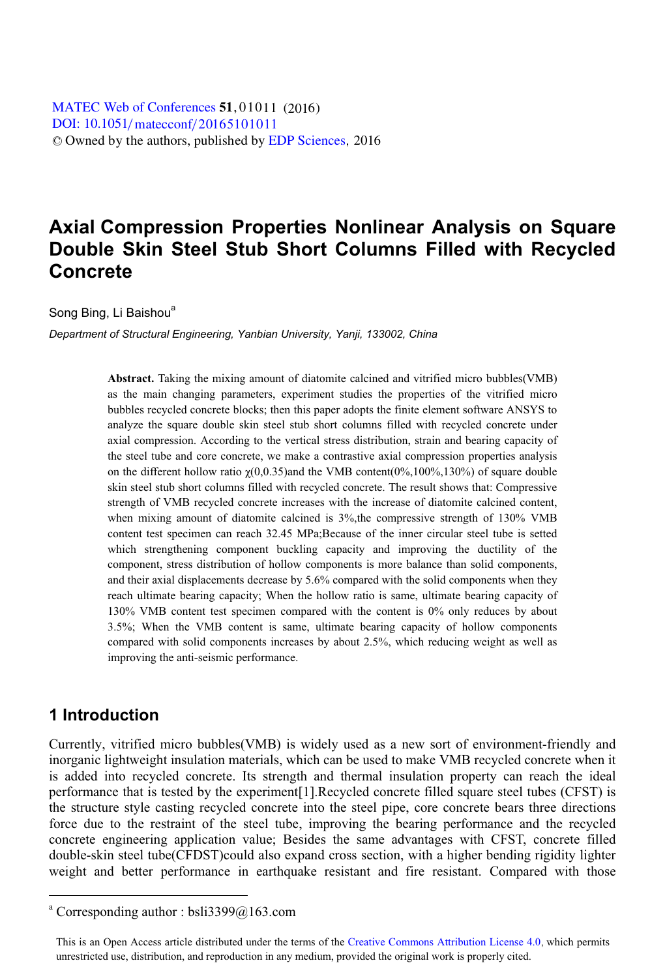# **Axial Compression Properties Nonlinear Analysis on Square Double Skin Steel Stub Short Columns Filled with Recycled Concrete**

Song Bing, Li Baishou<sup>a</sup>

*Department of Structural Engineering, Yanbian University, Yanji, 133002, China* 

**Abstract.** Taking the mixing amount of diatomite calcined and vitrified micro bubbles(VMB) as the main changing parameters, experiment studies the properties of the vitrified micro bubbles recycled concrete blocks; then this paper adopts the finite element software ANSYS to analyze the square double skin steel stub short columns filled with recycled concrete under axial compression. According to the vertical stress distribution, strain and bearing capacity of the steel tube and core concrete, we make a contrastive axial compression properties analysis on the different hollow ratio  $\gamma(0,0.35)$  and the VMB content(0%,100%,130%) of square double skin steel stub short columns filled with recycled concrete. The result shows that: Compressive strength of VMB recycled concrete increases with the increase of diatomite calcined content, when mixing amount of diatomite calcined is 3%, the compressive strength of 130% VMB content test specimen can reach 32.45 MPa;Because of the inner circular steel tube is setted which strengthening component buckling capacity and improving the ductility of the component, stress distribution of hollow components is more balance than solid components, and their axial displacements decrease by 5.6% compared with the solid components when they reach ultimate bearing capacity; When the hollow ratio is same, ultimate bearing capacity of 130% VMB content test specimen compared with the content is 0% only reduces by about 3.5%; When the VMB content is same, ultimate bearing capacity of hollow components compared with solid components increases by about 2.5%, which reducing weight as well as improving the anti-seismic performance.

# **1 Introduction**

 $\overline{a}$ 

Currently, vitrified micro bubbles(VMB) is widely used as a new sort of environment-friendly and inorganic lightweight insulation materials, which can be used to make VMB recycled concrete when it is added into recycled concrete. Its strength and thermal insulation property can reach the ideal performance that is tested by the experiment[1].Recycled concrete filled square steel tubes (CFST) is the structure style casting recycled concrete into the steel pipe, core concrete bears three directions force due to the restraint of the steel tube, improving the bearing performance and the recycled concrete engineering application value; Besides the same advantages with CFST, concrete filled double-skin steel tube(CFDST)could also expand cross section, with a higher bending rigidity lighter weight and better performance in earthquake resistant and fire resistant. Compared with those

a Corresponding author : bsli3399@163.com

This is an Open Access article distributed under the terms of the Creative Commons Attribution License 4.0, which permits unrestricted use, distribution, and reproduction in any medium, provided the original work is properly cited.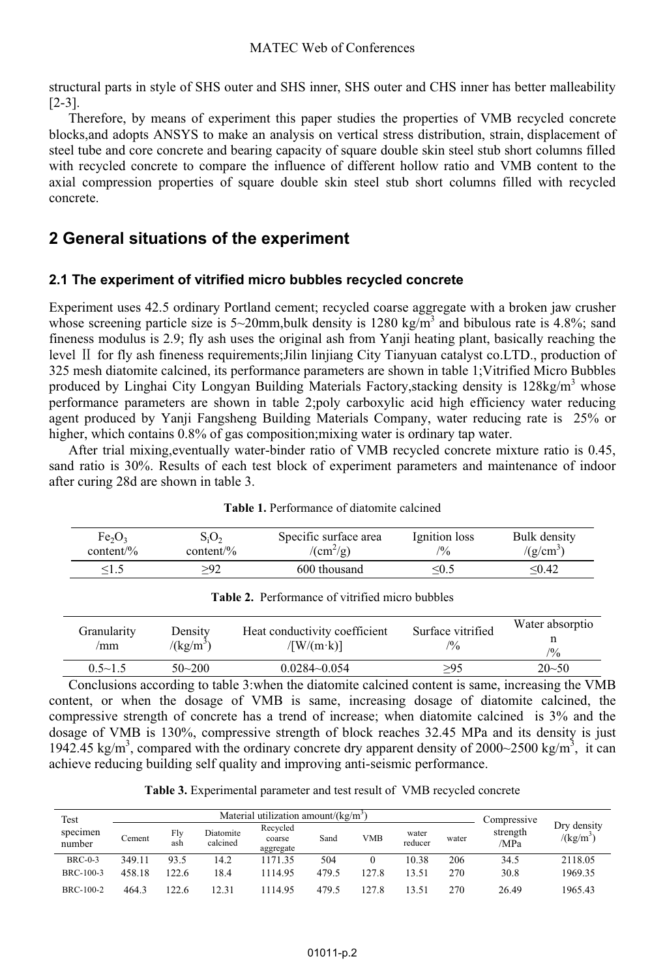structural parts in style of SHS outer and SHS inner, SHS outer and CHS inner has better malleability [2-3].

Therefore, by means of experiment this paper studies the properties of VMB recycled concrete blocks,and adopts ANSYS to make an analysis on vertical stress distribution, strain, displacement of steel tube and core concrete and bearing capacity of square double skin steel stub short columns filled with recycled concrete to compare the influence of different hollow ratio and VMB content to the axial compression properties of square double skin steel stub short columns filled with recycled concrete.

# **2 General situations of the experiment**

### **2.1 The experiment of vitrified micro bubbles recycled concrete**

Experiment uses 42.5 ordinary Portland cement; recycled coarse aggregate with a broken jaw crusher whose screening particle size is 5~20mm, bulk density is 1280 kg/m<sup>3</sup> and bibulous rate is 4.8%; sand fineness modulus is 2.9; fly ash uses the original ash from Yanji heating plant, basically reaching the level II for fly ash fineness requirements; Jilin linjiang City Tianyuan catalyst co.LTD., production of 325 mesh diatomite calcined, its performance parameters are shown in table 1;Vitrified Micro Bubbles produced by Linghai City Longyan Building Materials Factory, stacking density is  $128 \text{kg/m}^3$  whose performance parameters are shown in table 2;poly carboxylic acid high efficiency water reducing agent produced by Yanji Fangsheng Building Materials Company, water reducing rate is 25% or higher, which contains  $0.8\%$  of gas composition;mixing water is ordinary tap water.

After trial mixing,eventually water-binder ratio of VMB recycled concrete mixture ratio is 0.45, sand ratio is 30%. Results of each test block of experiment parameters and maintenance of indoor after curing 28d are shown in table 3.

| Fe <sub>2</sub> O <sub>3</sub> | $\mathbf{S}_i \mathbf{O}_2$ | Specific surface area     | Ignition loss  | Bulk density |
|--------------------------------|-----------------------------|---------------------------|----------------|--------------|
| content/ $\%$                  | content/ $\%$               | $/(\text{cm}^2/\text{g})$ | $\frac{10}{6}$ | $/(g/cm^3)$  |
| د.≀>                           |                             | 600 thousand              | <∪∴            | < 0.42       |

| <b>Table 2.</b> Performance of vitrified micro bubbles |  |  |  |
|--------------------------------------------------------|--|--|--|
|--------------------------------------------------------|--|--|--|

| Granularity    | Density               | Heat conductivity coefficient | Surface vitrified | Water absorptio |
|----------------|-----------------------|-------------------------------|-------------------|-----------------|
| /mm            | /(kg/m <sup>3</sup> ) | $\sqrt{W/(m \cdot k)}$        | $\frac{10}{6}$    | $\frac{10}{6}$  |
| $0.5 \sim 1.5$ | $50 - 200$            | $0.0284 - 0.054$              | >95               | $20 - 50$       |

Conclusions according to table 3:when the diatomite calcined content is same, increasing the VMB content, or when the dosage of VMB is same, increasing dosage of diatomite calcined, the compressive strength of concrete has a trend of increase; when diatomite calcined is 3% and the dosage of VMB is 130%, compressive strength of block reaches 32.45 MPa and its density is just 1942.45 kg/m<sup>3</sup>, compared with the ordinary concrete dry apparent density of 2000~2500 kg/m<sup>3</sup>, it can achieve reducing building self quality and improving anti-seismic performance.

**Table 3.** Experimental parameter and test result of VMB recycled concrete

| Test<br>specimen<br>number | Material utilization amount/ $\frac{\text{kg}}{\text{m}^3}$ |            |                       |                                 |       |            |                  |       | Compressive      |                            |  |
|----------------------------|-------------------------------------------------------------|------------|-----------------------|---------------------------------|-------|------------|------------------|-------|------------------|----------------------------|--|
|                            | ∵ement                                                      | Flv<br>ash | Diatomite<br>calcined | Recycled<br>coarse<br>aggregate | Sand  | <b>VMB</b> | water<br>reducer | water | strength<br>/MPa | Dry density<br>$/(kg/m^3)$ |  |
| $BRC-0-3$                  | 349.11                                                      | 93.5       | 14.2                  | 1171.35                         | 504   |            | 10.38            | 206   | 34.5             | 2118.05                    |  |
| BRC-100-3                  | 458.18                                                      | 122.6      | 18.4                  | 1114.95                         | 479.5 | 127.8      | 13.51            | 270   | 30.8             | 1969.35                    |  |
| BRC-100-2                  | 464.3                                                       | 122.6      | 12.31                 | 114.95                          | 479.5 | 127.8      | 13.51            | 270   | 26.49            | 1965.43                    |  |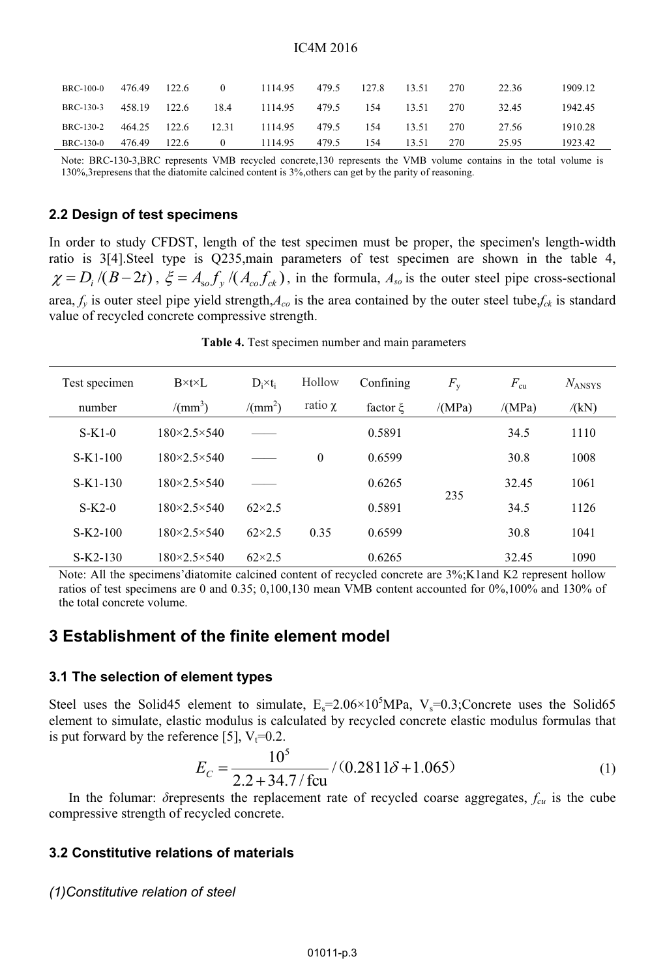| BRC-100-0                                 | 476.49       | 122.6 | $\Omega$ | 1114.95       | 479.5 | 127.8 | 13.51 | 270 | 22.36 | 1909.12 |
|-------------------------------------------|--------------|-------|----------|---------------|-------|-------|-------|-----|-------|---------|
| BRC-130-3 458.19 122.6 18.4 1114.95 479.5 |              |       |          |               |       | 154   | 13.51 | 270 | 32.45 | 1942.45 |
| BRC-130-2 464.25 122.6 12.31              |              |       |          | 1114.95 479.5 |       | 154   | 13.51 | 270 | 27.56 | 1910.28 |
| BRC-130-0                                 | 476.49 122.6 |       | $\Omega$ | 1114.95       | 479.5 | 154   | 13.51 | 270 | 25.95 | 1923.42 |

Note: BRC-130-3,BRC represents VMB recycled concrete,130 represents the VMB volume contains in the total volume is 130%,3represens that the diatomite calcined content is 3%,others can get by the parity of reasoning.

#### **2.2 Design of test specimens**

In order to study CFDST, length of the test specimen must be proper, the specimen's length-width ratio is 3[4].Steel type is Q235,main parameters of test specimen are shown in the table 4,  $\chi = D_i / (B - 2t)$ ,  $\xi = A_{so} f_y / (A_{co} f_{ck})$ , in the formula,  $A_{so}$  is the outer steel pipe cross-sectional area,  $f_v$  is outer steel pipe yield strength, $A_{co}$  is the area contained by the outer steel tube, $f_{ck}$  is standard value of recycled concrete compressive strength.

 **Table 4.** Test specimen number and main parameters

| Test specimen | $B\times t\times L$         | Hollow<br>$D_i \times t_i$ |              | Confining | $F_{\rm v}$ | $F_{\rm cu}$ | $N_{ANSYS}$ |      |  |
|---------------|-----------------------------|----------------------------|--------------|-----------|-------------|--------------|-------------|------|--|
| number        | $/(mm^3)$                   | /(mm <sup>2</sup> )        | ratio $\chi$ | factor ξ  | /(MPa)      | /(MPa)       | /(kN)       |      |  |
| $S-K1-0$      | $180 \times 2.5 \times 540$ |                            |              |           | 0.5891      |              | 34.5        | 1110 |  |
| $S-K1-100$    | $180 \times 2.5 \times 540$ |                            | $\mathbf{0}$ | 0.6599    |             | 30.8         | 1008        |      |  |
| $S-K1-130$    | $180 \times 2.5 \times 540$ |                            |              | 0.6265    |             | 32.45        | 1061        |      |  |
| $S-K2-0$      | $180 \times 2.5 \times 540$ | $62\times2.5$              |              | 0.5891    | 235         | 34.5         | 1126        |      |  |
| $S-K2-100$    | $180 \times 2.5 \times 540$ | $62\times2.5$              | 0.35         | 0.6599    |             | 30.8         | 1041        |      |  |
| $S-K2-130$    | $180 \times 2.5 \times 540$ | $62\times2.5$              |              | 0.6265    |             | 32.45        | 1090        |      |  |

Note: All the specimens'diatomite calcined content of recycled concrete are  $3\%$ ;K1and K2 represent hollow ratios of test specimens are 0 and 0.35; 0,100,130 mean VMB content accounted for 0%,100% and 130% of the total concrete volume.

# **3 Establishment of the finite element model**

#### **3.1 The selection of element types**

Steel uses the Solid45 element to simulate,  $E_s = 2.06 \times 10^5 MPa$ , V<sub>s</sub>=0.3;Concrete uses the Solid65 element to simulate, elastic modulus is calculated by recycled concrete elastic modulus formulas that is put forward by the reference [5],  $V_t=0.2$ .

$$
E_C = \frac{10^5}{2.2 + 34.7/\text{fcu}} / (0.2811\delta + 1.065)
$$
 (1)

In the folumar: *δ*represents the replacement rate of recycled coarse aggregates, *fcu* is the cube compressive strength of recycled concrete.

#### **3.2 Constitutive relations of materials**

*(1)Constitutive relation of steel*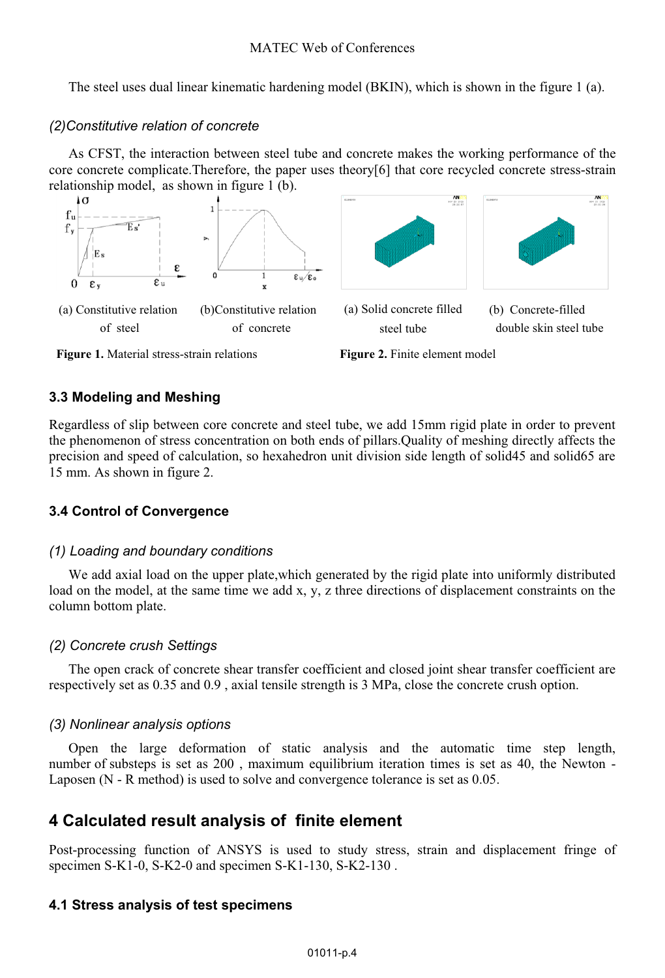The steel uses dual linear kinematic hardening model (BKIN), which is shown in the figure 1 (a).

### *(2)Constitutive relation of concrete*

As CFST, the interaction between steel tube and concrete makes the working performance of the core concrete complicate.Therefore, the paper uses theory[6] that core recycled concrete stress-strain relationship model, as shown in figure 1 (b).





# **3.3 Modeling and Meshing**

Regardless of slip between core concrete and steel tube, we add 15mm rigid plate in order to prevent the phenomenon of stress concentration on both ends of pillars.Quality of meshing directly affects the precision and speed of calculation, so hexahedron unit division side length of solid45 and solid65 are 15 mm. As shown in figure 2.

# **3.4 Control of Convergence**

### *(1) Loading and boundary conditions*

We add axial load on the upper plate,which generated by the rigid plate into uniformly distributed load on the model, at the same time we add x, y, z three directions of displacement constraints on the column bottom plate.

# *(2) Concrete crush Settings*

The open crack of concrete shear transfer coefficient and closed joint shear transfer coefficient are respectively set as 0.35 and 0.9 , axial tensile strength is 3 MPa, close the concrete crush option.

# *(3) Nonlinear analysis options*

Open the large deformation of static analysis and the automatic time step length, number of substeps is set as 200 , maximum equilibrium iteration times is set as 40, the Newton - Laposen (N - R method) is used to solve and convergence tolerance is set as 0.05.

# **4 Calculated result analysis of finite element**

Post-processing function of ANSYS is used to study stress, strain and displacement fringe of specimen S-K1-0, S-K2-0 and specimen S-K1-130, S-K2-130 .

# **4.1 Stress analysis of test specimens**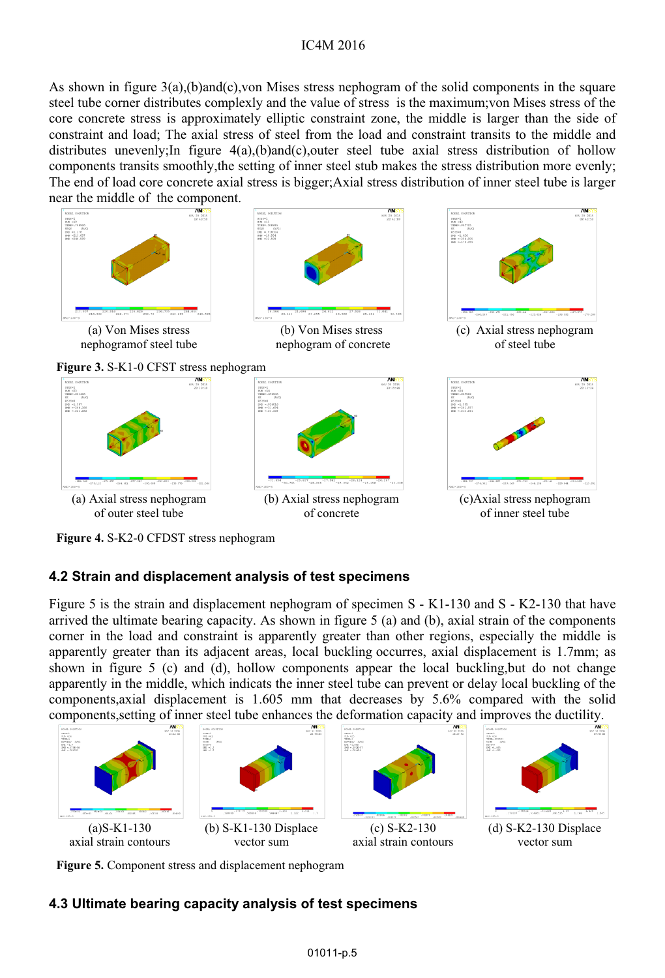#### IC4M 2016

As shown in figure 3(a),(b)and(c),von Mises stress nephogram of the solid components in the square steel tube corner distributes complexly and the value of stress is the maximum;von Mises stress of the core concrete stress is approximately elliptic constraint zone, the middle is larger than the side of constraint and load; The axial stress of steel from the load and constraint transits to the middle and distributes unevenly; In figure  $4(a)$ , (b)and(c), outer steel tube axial stress distribution of hollow components transits smoothly,the setting of inner steel stub makes the stress distribution more evenly; The end of load core concrete axial stress is bigger;Axial stress distribution of inner steel tube is larger near the middle of the component.



**Figure 4.** S-K2-0 CFDST stress nephogram

### **4.2 Strain and displacement analysis of test specimens**

Figure 5 is the strain and displacement nephogram of specimen S - K1-130 and S - K2-130 that have arrived the ultimate bearing capacity. As shown in figure 5 (a) and (b), axial strain of the components corner in the load and constraint is apparently greater than other regions, especially the middle is apparently greater than its adjacent areas, local buckling occurres, axial displacement is 1.7mm; as shown in figure 5 (c) and (d), hollow components appear the local buckling,but do not change apparently in the middle, which indicats the inner steel tube can prevent or delay local buckling of the components,axial displacement is 1.605 mm that decreases by 5.6% compared with the solid components,setting of inner steel tube enhances the deformation capacity and improves the ductility.



**Figure 5.** Component stress and displacement nephogram

### **4.3 Ultimate bearing capacity analysis of test specimens**